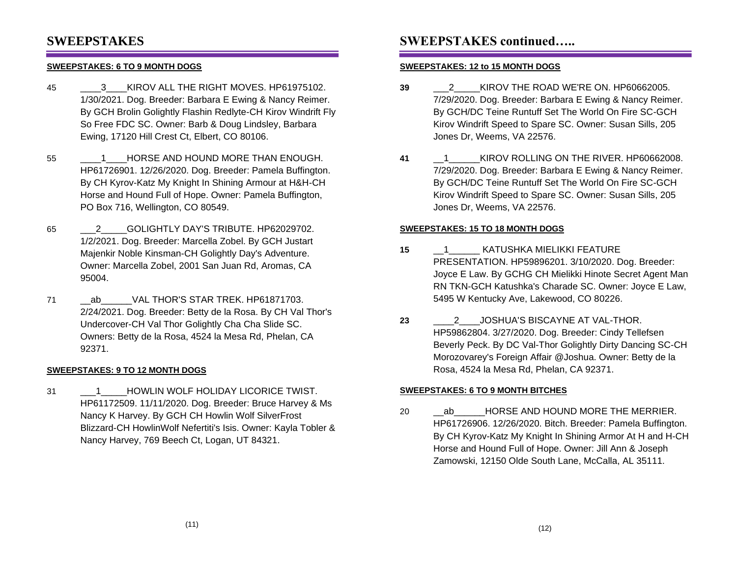## **SWEEPSTAKES**

### **SWEEPSTAKES: 6 TO 9 MONTH DOGS**

- 45 **3** KIROV ALL THE RIGHT MOVES. HP61975102. 1/30/2021. Dog. Breeder: Barbara E Ewing & Nancy Reimer. By GCH Brolin Golightly Flashin Redlyte-CH Kirov Windrift Fly So Free FDC SC. Owner: Barb & Doug Lindsley, Barbara Ewing, 17120 Hill Crest Ct, Elbert, CO 80106.
- 55 **1** HORSE AND HOUND MORE THAN ENOUGH. HP61726901. 12/26/2020. Dog. Breeder: Pamela Buffington. By CH Kyrov-Katz My Knight In Shining Armour at H&H-CH Horse and Hound Full of Hope. Owner: Pamela Buffington, PO Box 716, Wellington, CO 80549.
- 65 \_\_\_2\_\_\_\_\_GOLIGHTLY DAY'S TRIBUTE. HP62029702. 1/2/2021. Dog. Breeder: Marcella Zobel. By GCH Justart Majenkir Noble Kinsman-CH Golightly Day's Adventure. Owner: Marcella Zobel, 2001 San Juan Rd, Aromas, CA 95004.
- 71 \_\_ab\_\_\_\_\_\_VAL THOR'S STAR TREK. HP61871703. 2/24/2021. Dog. Breeder: Betty de la Rosa. By CH Val Thor's Undercover-CH Val Thor Golightly Cha Cha Slide SC. Owners: Betty de la Rosa, 4524 la Mesa Rd, Phelan, CA 92371.

#### **SWEEPSTAKES: 9 TO 12 MONTH DOGS**

31 \_\_\_1\_\_\_\_\_HOWLIN WOLF HOLIDAY LICORICE TWIST. HP61172509. 11/11/2020. Dog. Breeder: Bruce Harvey & Ms Nancy K Harvey. By GCH CH Howlin Wolf SilverFrost Blizzard-CH HowlinWolf Nefertiti's Isis. Owner: Kayla Tobler & Nancy Harvey, 769 Beech Ct, Logan, UT 84321.

## **SWEEPSTAKES continued…..**

#### **SWEEPSTAKES: 12 to 15 MONTH DOGS**

- **39** \_\_\_2\_\_\_\_\_KIROV THE ROAD WE'RE ON. HP60662005. 7/29/2020. Dog. Breeder: Barbara E Ewing & Nancy Reimer. By GCH/DC Teine Runtuff Set The World On Fire SC-GCH Kirov Windrift Speed to Spare SC. Owner: Susan Sills, 205 Jones Dr, Weems, VA 22576.
- **41** \_\_1\_\_\_\_\_\_KIROV ROLLING ON THE RIVER. HP60662008. 7/29/2020. Dog. Breeder: Barbara E Ewing & Nancy Reimer. By GCH/DC Teine Runtuff Set The World On Fire SC-GCH Kirov Windrift Speed to Spare SC. Owner: Susan Sills, 205 Jones Dr, Weems, VA 22576.

#### **SWEEPSTAKES: 15 TO 18 MONTH DOGS**

- **15** \_\_1\_\_\_\_\_\_ KATUSHKA MIELIKKI FEATURE PRESENTATION. HP59896201. 3/10/2020. Dog. Breeder: Joyce E Law. By GCHG CH Mielikki Hinote Secret Agent Man RN TKN-GCH Katushka's Charade SC. Owner: Joyce E Law, 5495 W Kentucky Ave, Lakewood, CO 80226.
- **23** \_\_\_\_2\_\_\_\_JOSHUA'S BISCAYNE AT VAL-THOR. HP59862804. 3/27/2020. Dog. Breeder: Cindy Tellefsen Beverly Peck. By DC Val-Thor Golightly Dirty Dancing SC-CH Morozovarey's Foreign Affair @Joshua. Owner: Betty de la Rosa, 4524 la Mesa Rd, Phelan, CA 92371.

#### **SWEEPSTAKES: 6 TO 9 MONTH BITCHES**

20 ab HORSE AND HOUND MORE THE MERRIER. HP61726906. 12/26/2020. Bitch. Breeder: Pamela Buffington. By CH Kyrov-Katz My Knight In Shining Armor At H and H-CH Horse and Hound Full of Hope. Owner: Jill Ann & Joseph Zamowski, 12150 Olde South Lane, McCalla, AL 35111.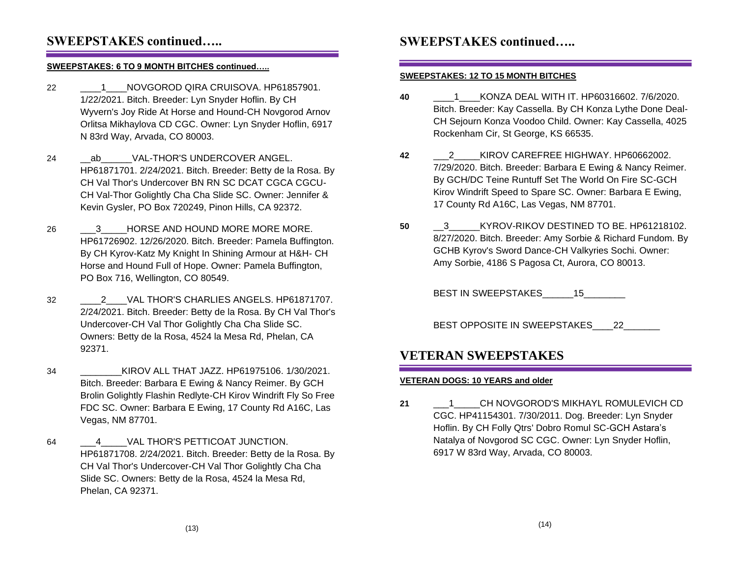## **SWEEPSTAKES continued…..**

#### **SWEEPSTAKES: 6 TO 9 MONTH BITCHES continued…..**

- 22 \_\_\_\_1\_\_\_\_NOVGOROD QIRA CRUISOVA. HP61857901. 1/22/2021. Bitch. Breeder: Lyn Snyder Hoflin. By CH Wyvern's Joy Ride At Horse and Hound-CH Novgorod Arnov Orlitsa Mikhaylova CD CGC. Owner: Lyn Snyder Hoflin, 6917 N 83rd Way, Arvada, CO 80003.
- 24 ab VAL-THOR'S UNDERCOVER ANGEL. HP61871701. 2/24/2021. Bitch. Breeder: Betty de la Rosa. By CH Val Thor's Undercover BN RN SC DCAT CGCA CGCU-CH Val-Thor Golightly Cha Cha Slide SC. Owner: Jennifer & Kevin Gysler, PO Box 720249, Pinon Hills, CA 92372.
- 26 <sup>3</sup> HORSE AND HOUND MORE MORE MORE. HP61726902. 12/26/2020. Bitch. Breeder: Pamela Buffington. By CH Kyrov-Katz My Knight In Shining Armour at H&H- CH Horse and Hound Full of Hope. Owner: Pamela Buffington, PO Box 716, Wellington, CO 80549.
- 32 \_\_\_\_2\_\_\_\_VAL THOR'S CHARLIES ANGELS. HP61871707. 2/24/2021. Bitch. Breeder: Betty de la Rosa. By CH Val Thor's Undercover-CH Val Thor Golightly Cha Cha Slide SC. Owners: Betty de la Rosa, 4524 la Mesa Rd, Phelan, CA 92371.
- 34 \_\_\_\_\_\_\_\_KIROV ALL THAT JAZZ. HP61975106. 1/30/2021. Bitch. Breeder: Barbara E Ewing & Nancy Reimer. By GCH Brolin Golightly Flashin Redlyte-CH Kirov Windrift Fly So Free FDC SC. Owner: Barbara E Ewing, 17 County Rd A16C, Las Vegas, NM 87701.
- 64 4 VAL THOR'S PETTICOAT JUNCTION. HP61871708. 2/24/2021. Bitch. Breeder: Betty de la Rosa. By CH Val Thor's Undercover-CH Val Thor Golightly Cha Cha Slide SC. Owners: Betty de la Rosa, 4524 la Mesa Rd, Phelan, CA 92371.

## **SWEEPSTAKES continued…..**

#### **SWEEPSTAKES: 12 TO 15 MONTH BITCHES**

- **40** \_\_\_\_1\_\_\_\_KONZA DEAL WITH IT. HP60316602. 7/6/2020. Bitch. Breeder: Kay Cassella. By CH Konza Lythe Done Deal-CH Sejourn Konza Voodoo Child. Owner: Kay Cassella, 4025 Rockenham Cir, St George, KS 66535.
- **42** \_\_\_2\_\_\_\_\_KIROV CAREFREE HIGHWAY. HP60662002. 7/29/2020. Bitch. Breeder: Barbara E Ewing & Nancy Reimer. By GCH/DC Teine Runtuff Set The World On Fire SC-GCH Kirov Windrift Speed to Spare SC. Owner: Barbara E Ewing, 17 County Rd A16C, Las Vegas, NM 87701.
- 50 <sup>3</sup> KYROV-RIKOV DESTINED TO BE. HP61218102. 8/27/2020. Bitch. Breeder: Amy Sorbie & Richard Fundom. By GCHB Kyrov's Sword Dance-CH Valkyries Sochi. Owner: Amy Sorbie, 4186 S Pagosa Ct, Aurora, CO 80013.

BEST IN SWEEPSTAKES 15

BEST OPPOSITE IN SWEEPSTAKES 22

## **VETERAN SWEEPSTAKES**

#### **VETERAN DOGS: 10 YEARS and older**

**21** \_\_\_1\_\_\_\_\_CH NOVGOROD'S MIKHAYL ROMULEVICH CD CGC. HP41154301. 7/30/2011. Dog. Breeder: Lyn Snyder Hoflin. By CH Folly Qtrs' Dobro Romul SC-GCH Astara's Natalya of Novgorod SC CGC. Owner: Lyn Snyder Hoflin, 6917 W 83rd Way, Arvada, CO 80003.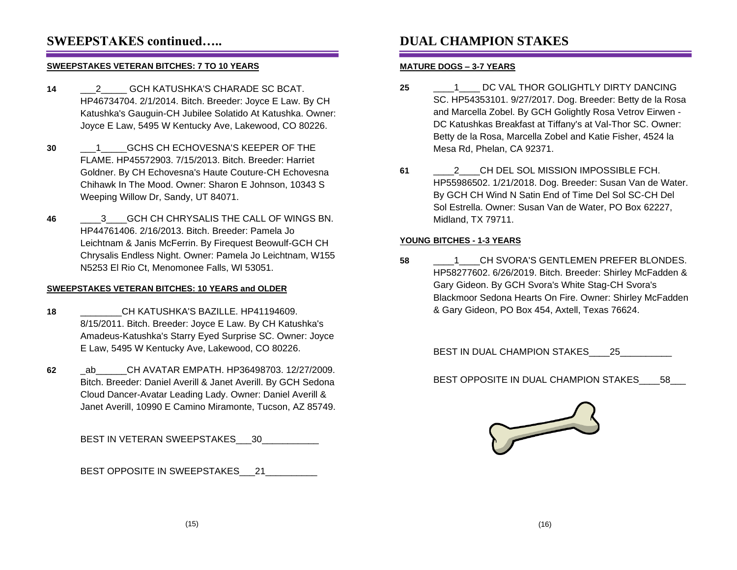## **SWEEPSTAKES continued…..**

#### **SWEEPSTAKES VETERAN BITCHES: 7 TO 10 YEARS**

- **14** \_\_\_2\_\_\_\_\_ GCH KATUSHKA'S CHARADE SC BCAT. HP46734704. 2/1/2014. Bitch. Breeder: Joyce E Law. By CH Katushka's Gauguin-CH Jubilee Solatido At Katushka. Owner: Joyce E Law, 5495 W Kentucky Ave, Lakewood, CO 80226.
- **30** \_\_\_1\_\_\_\_\_GCHS CH ECHOVESNA'S KEEPER OF THE FLAME. HP45572903. 7/15/2013. Bitch. Breeder: Harriet Goldner. By CH Echovesna's Haute Couture-CH Echovesna Chihawk In The Mood. Owner: Sharon E Johnson, 10343 S Weeping Willow Dr, Sandy, UT 84071.
- **46** \_\_\_\_3\_\_\_\_GCH CH CHRYSALIS THE CALL OF WINGS BN. HP44761406. 2/16/2013. Bitch. Breeder: Pamela Jo Leichtnam & Janis McFerrin. By Firequest Beowulf-GCH CH Chrysalis Endless Night. Owner: Pamela Jo Leichtnam, W155 N5253 El Rio Ct, Menomonee Falls, WI 53051.

#### **SWEEPSTAKES VETERAN BITCHES: 10 YEARS and OLDER**

- **18** \_\_\_\_\_\_\_\_CH KATUSHKA'S BAZILLE. HP41194609. 8/15/2011. Bitch. Breeder: Joyce E Law. By CH Katushka's Amadeus-Katushka's Starry Eyed Surprise SC. Owner: Joyce E Law, 5495 W Kentucky Ave, Lakewood, CO 80226.
- **62** \_ab\_\_\_\_\_\_CH AVATAR EMPATH. HP36498703. 12/27/2009. Bitch. Breeder: Daniel Averill & Janet Averill. By GCH Sedona Cloud Dancer-Avatar Leading Lady. Owner: Daniel Averill & Janet Averill, 10990 E Camino Miramonte, Tucson, AZ 85749.

BEST IN VETERAN SWEEPSTAKES 30

BEST OPPOSITE IN SWEEPSTAKES 21

# **DUAL CHAMPION STAKES**

### **MATURE DOGS – 3-7 YEARS**

- **25** \_\_\_\_1\_\_\_\_ DC VAL THOR GOLIGHTLY DIRTY DANCING SC. HP54353101. 9/27/2017. Dog. Breeder: Betty de la Rosa and Marcella Zobel. By GCH Golightly Rosa Vetrov Eirwen - DC Katushkas Breakfast at Tiffany's at Val-Thor SC. Owner: Betty de la Rosa, Marcella Zobel and Katie Fisher, 4524 la Mesa Rd, Phelan, CA 92371.
- **61** \_\_\_\_2\_\_\_\_CH DEL SOL MISSION IMPOSSIBLE FCH. HP55986502. 1/21/2018. Dog. Breeder: Susan Van de Water. By GCH CH Wind N Satin End of Time Del Sol SC-CH Del Sol Estrella. Owner: Susan Van de Water, PO Box 62227, Midland, TX 79711.

### **YOUNG BITCHES - 1-3 YEARS**

**58** \_\_\_\_1\_\_\_\_CH SVORA'S GENTLEMEN PREFER BLONDES. HP58277602. 6/26/2019. Bitch. Breeder: Shirley McFadden & Gary Gideon. By GCH Svora's White Stag-CH Svora's Blackmoor Sedona Hearts On Fire. Owner: Shirley McFadden & Gary Gideon, PO Box 454, Axtell, Texas 76624.

BEST IN DUAL CHAMPION STAKES\_\_\_\_25\_\_\_\_

BEST OPPOSITE IN DUAL CHAMPION STAKES\_\_\_\_58\_\_\_

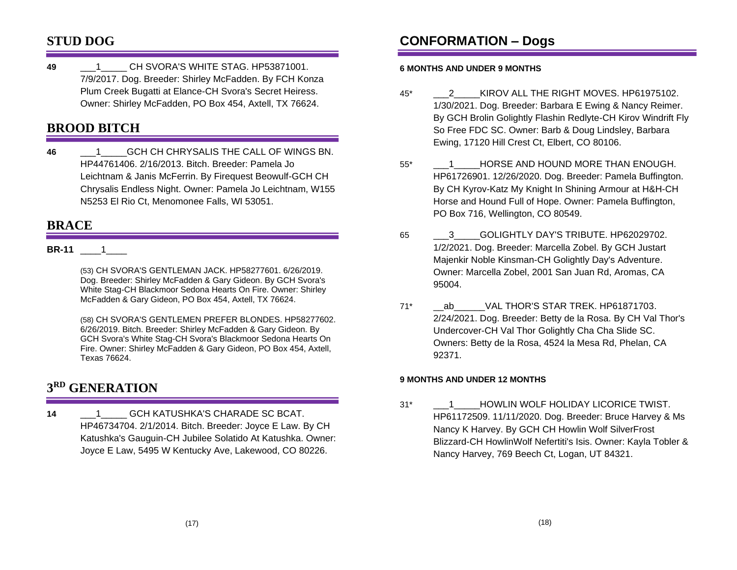## **STUD DOG**

**49** \_\_\_1\_\_\_\_\_ CH SVORA'S WHITE STAG. HP53871001. 7/9/2017. Dog. Breeder: Shirley McFadden. By FCH Konza Plum Creek Bugatti at Elance-CH Svora's Secret Heiress. Owner: Shirley McFadden, PO Box 454, Axtell, TX 76624.

# **BROOD BITCH**

**46** \_\_\_1\_\_\_\_\_GCH CH CHRYSALIS THE CALL OF WINGS BN. HP44761406. 2/16/2013. Bitch. Breeder: Pamela Jo Leichtnam & Janis McFerrin. By Firequest Beowulf-GCH CH Chrysalis Endless Night. Owner: Pamela Jo Leichtnam, W155 N5253 El Rio Ct, Menomonee Falls, WI 53051.

## **BRACE**

### **BR-11** \_\_\_\_1\_\_\_\_

(53) CH SVORA'S GENTLEMAN JACK. HP58277601. 6/26/2019. Dog. Breeder: Shirley McFadden & Gary Gideon. By GCH Svora's White Stag-CH Blackmoor Sedona Hearts On Fire. Owner: Shirley McFadden & Gary Gideon, PO Box 454, Axtell, TX 76624.

(58) CH SVORA'S GENTLEMEN PREFER BLONDES. HP58277602. 6/26/2019. Bitch. Breeder: Shirley McFadden & Gary Gideon. By GCH Svora's White Stag-CH Svora's Blackmoor Sedona Hearts On Fire. Owner: Shirley McFadden & Gary Gideon, PO Box 454, Axtell, Texas 76624.

## **3 RD GENERATION**

**14** \_\_\_1\_\_\_\_\_ GCH KATUSHKA'S CHARADE SC BCAT. HP46734704. 2/1/2014. Bitch. Breeder: Joyce E Law. By CH Katushka's Gauguin-CH Jubilee Solatido At Katushka. Owner: Joyce E Law, 5495 W Kentucky Ave, Lakewood, CO 80226.

# **CONFORMATION – Dogs**

### **6 MONTHS AND UNDER 9 MONTHS**

- 45\* \_\_\_2\_\_\_\_\_KIROV ALL THE RIGHT MOVES. HP61975102. 1/30/2021. Dog. Breeder: Barbara E Ewing & Nancy Reimer. By GCH Brolin Golightly Flashin Redlyte-CH Kirov Windrift Fly So Free FDC SC. Owner: Barb & Doug Lindsley, Barbara Ewing, 17120 Hill Crest Ct, Elbert, CO 80106.
- 55\* \_\_\_1\_\_\_\_\_HORSE AND HOUND MORE THAN ENOUGH. HP61726901. 12/26/2020. Dog. Breeder: Pamela Buffington. By CH Kyrov-Katz My Knight In Shining Armour at H&H-CH Horse and Hound Full of Hope. Owner: Pamela Buffington, PO Box 716, Wellington, CO 80549.
- 65 . 3 GOLIGHTLY DAY'S TRIBUTE. HP62029702. 1/2/2021. Dog. Breeder: Marcella Zobel. By GCH Justart Majenkir Noble Kinsman-CH Golightly Day's Adventure. Owner: Marcella Zobel, 2001 San Juan Rd, Aromas, CA 95004.
- 71\* \_\_ab\_\_\_\_\_\_VAL THOR'S STAR TREK. HP61871703. 2/24/2021. Dog. Breeder: Betty de la Rosa. By CH Val Thor's Undercover-CH Val Thor Golightly Cha Cha Slide SC. Owners: Betty de la Rosa, 4524 la Mesa Rd, Phelan, CA 92371.

### **9 MONTHS AND UNDER 12 MONTHS**

31\* \_\_\_1\_\_\_\_\_HOWLIN WOLF HOLIDAY LICORICE TWIST. HP61172509. 11/11/2020. Dog. Breeder: Bruce Harvey & Ms Nancy K Harvey. By GCH CH Howlin Wolf SilverFrost Blizzard-CH HowlinWolf Nefertiti's Isis. Owner: Kayla Tobler & Nancy Harvey, 769 Beech Ct, Logan, UT 84321.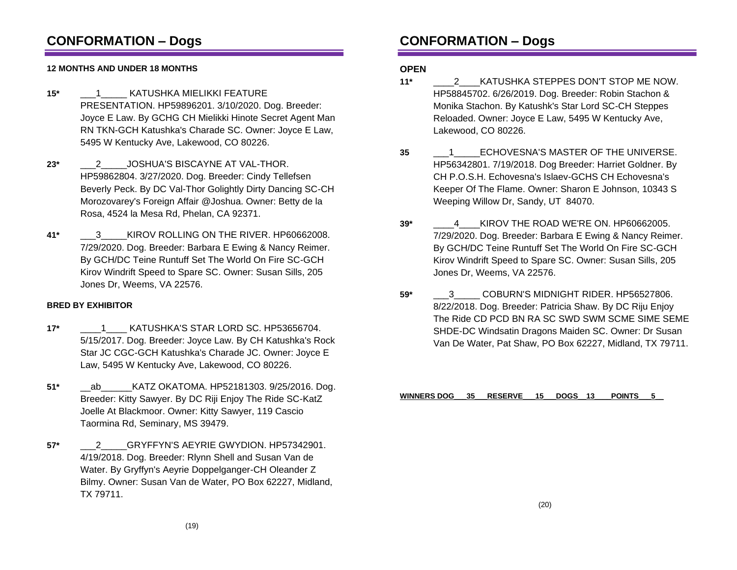## **CONFORMATION – Dogs**

### **12 MONTHS AND UNDER 18 MONTHS**

- **15\*** \_\_\_1\_\_\_\_\_ KATUSHKA MIELIKKI FEATURE PRESENTATION. HP59896201. 3/10/2020. Dog. Breeder: Joyce E Law. By GCHG CH Mielikki Hinote Secret Agent Man RN TKN-GCH Katushka's Charade SC. Owner: Joyce E Law, 5495 W Kentucky Ave, Lakewood, CO 80226.
- **23\*** \_\_\_2\_\_\_\_\_JOSHUA'S BISCAYNE AT VAL-THOR. HP59862804. 3/27/2020. Dog. Breeder: Cindy Tellefsen Beverly Peck. By DC Val-Thor Golightly Dirty Dancing SC-CH Morozovarey's Foreign Affair @Joshua. Owner: Betty de la Rosa, 4524 la Mesa Rd, Phelan, CA 92371.
- **41\*** \_\_\_3\_\_\_\_\_KIROV ROLLING ON THE RIVER. HP60662008. 7/29/2020. Dog. Breeder: Barbara E Ewing & Nancy Reimer. By GCH/DC Teine Runtuff Set The World On Fire SC-GCH Kirov Windrift Speed to Spare SC. Owner: Susan Sills, 205 Jones Dr, Weems, VA 22576.

#### **BRED BY EXHIBITOR**

- **17\*** \_\_\_\_1\_\_\_\_ KATUSHKA'S STAR LORD SC. HP53656704. 5/15/2017. Dog. Breeder: Joyce Law. By CH Katushka's Rock Star JC CGC-GCH Katushka's Charade JC. Owner: Joyce E Law, 5495 W Kentucky Ave, Lakewood, CO 80226.
- **51\*** \_\_ab\_\_\_\_\_\_KATZ OKATOMA. HP52181303. 9/25/2016. Dog. Breeder: Kitty Sawyer. By DC Riji Enjoy The Ride SC-KatZ Joelle At Blackmoor. Owner: Kitty Sawyer, 119 Cascio Taormina Rd, Seminary, MS 39479.
- **57\*** \_\_\_2\_\_\_\_\_GRYFFYN'S AEYRIE GWYDION. HP57342901. 4/19/2018. Dog. Breeder: Rlynn Shell and Susan Van de Water. By Gryffyn's Aeyrie Doppelganger-CH Oleander Z Bilmy. Owner: Susan Van de Water, PO Box 62227, Midland, TX 79711.

# **CONFORMATION – Dogs**

### **OPEN**

- **11\*** \_\_\_\_2\_\_\_\_KATUSHKA STEPPES DON'T STOP ME NOW. HP58845702. 6/26/2019. Dog. Breeder: Robin Stachon & Monika Stachon. By Katushk's Star Lord SC-CH Steppes Reloaded. Owner: Joyce E Law, 5495 W Kentucky Ave, Lakewood, CO 80226.
- **35** \_\_\_1\_\_\_\_\_ECHOVESNA'S MASTER OF THE UNIVERSE. HP56342801. 7/19/2018. Dog Breeder: Harriet Goldner. By CH P.O.S.H. Echovesna's Islaev-GCHS CH Echovesna's Keeper Of The Flame. Owner: Sharon E Johnson, 10343 S Weeping Willow Dr, Sandy, UT 84070.
- **39\*** \_\_\_\_4\_\_\_\_KIROV THE ROAD WE'RE ON. HP60662005. 7/29/2020. Dog. Breeder: Barbara E Ewing & Nancy Reimer. By GCH/DC Teine Runtuff Set The World On Fire SC-GCH Kirov Windrift Speed to Spare SC. Owner: Susan Sills, 205 Jones Dr, Weems, VA 22576.
- **59\*** \_\_\_3\_\_\_\_\_ COBURN'S MIDNIGHT RIDER. HP56527806. 8/22/2018. Dog. Breeder: Patricia Shaw. By DC Riju Enjoy The Ride CD PCD BN RA SC SWD SWM SCME SIME SEME SHDE-DC Windsatin Dragons Maiden SC. Owner: Dr Susan Van De Water, Pat Shaw, PO Box 62227, Midland, TX 79711.

**WINNERS DOG\_\_\_35\_\_\_RESERVE\_\_\_15\_\_\_DOGS\_\_13\_\_\_\_POINTS\_\_\_5\_\_**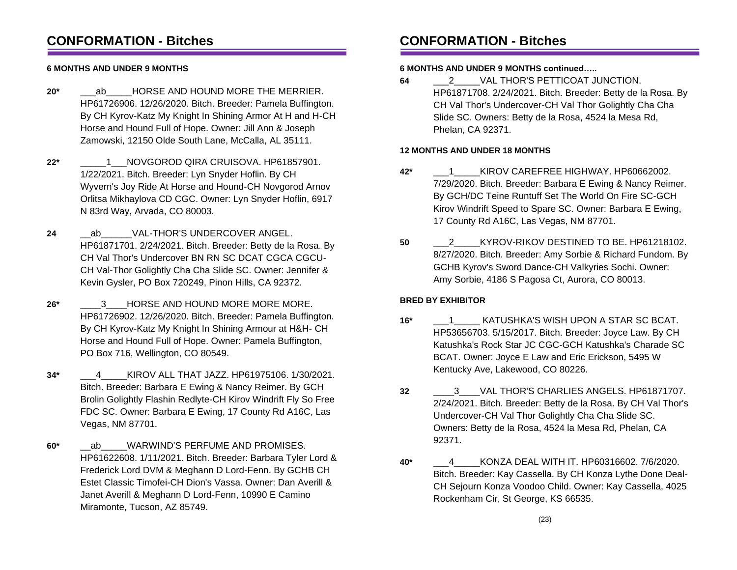## **CONFORMATION - Bitches**

### **6 MONTHS AND UNDER 9 MONTHS**

- **20\*** \_\_\_ab\_\_\_\_\_HORSE AND HOUND MORE THE MERRIER. HP61726906. 12/26/2020. Bitch. Breeder: Pamela Buffington. By CH Kyrov-Katz My Knight In Shining Armor At H and H-CH Horse and Hound Full of Hope. Owner: Jill Ann & Joseph Zamowski, 12150 Olde South Lane, McCalla, AL 35111.
- **22\*** \_\_\_\_\_1\_\_\_NOVGOROD QIRA CRUISOVA. HP61857901. 1/22/2021. Bitch. Breeder: Lyn Snyder Hoflin. By CH Wyvern's Joy Ride At Horse and Hound-CH Novgorod Arnov Orlitsa Mikhaylova CD CGC. Owner: Lyn Snyder Hoflin, 6917 N 83rd Way, Arvada, CO 80003.
- 24 ab VAL-THOR'S UNDERCOVER ANGEL. HP61871701. 2/24/2021. Bitch. Breeder: Betty de la Rosa. By CH Val Thor's Undercover BN RN SC DCAT CGCA CGCU-CH Val-Thor Golightly Cha Cha Slide SC. Owner: Jennifer & Kevin Gysler, PO Box 720249, Pinon Hills, CA 92372.
- **26\*** \_\_\_\_3\_\_\_\_HORSE AND HOUND MORE MORE MORE. HP61726902. 12/26/2020. Bitch. Breeder: Pamela Buffington. By CH Kyrov-Katz My Knight In Shining Armour at H&H- CH Horse and Hound Full of Hope. Owner: Pamela Buffington, PO Box 716, Wellington, CO 80549.
- **34\*** \_\_\_4\_\_\_\_\_KIROV ALL THAT JAZZ. HP61975106. 1/30/2021. Bitch. Breeder: Barbara E Ewing & Nancy Reimer. By GCH Brolin Golightly Flashin Redlyte-CH Kirov Windrift Fly So Free FDC SC. Owner: Barbara E Ewing, 17 County Rd A16C, Las Vegas, NM 87701.
- **60\*** \_\_ab\_\_\_\_\_WARWIND'S PERFUME AND PROMISES. HP61622608. 1/11/2021. Bitch. Breeder: Barbara Tyler Lord & Frederick Lord DVM & Meghann D Lord-Fenn. By GCHB CH Estet Classic Timofei-CH Dion's Vassa. Owner: Dan Averill & Janet Averill & Meghann D Lord-Fenn, 10990 E Camino Miramonte, Tucson, AZ 85749.

## **CONFORMATION - Bitches**

#### **6 MONTHS AND UNDER 9 MONTHS continued…..**

**64** \_\_\_2\_\_\_\_\_VAL THOR'S PETTICOAT JUNCTION. HP61871708. 2/24/2021. Bitch. Breeder: Betty de la Rosa. By CH Val Thor's Undercover-CH Val Thor Golightly Cha Cha Slide SC. Owners: Betty de la Rosa, 4524 la Mesa Rd, Phelan, CA 92371.

### **12 MONTHS AND UNDER 18 MONTHS**

- **42\*** \_\_\_1\_\_\_\_\_KIROV CAREFREE HIGHWAY. HP60662002. 7/29/2020. Bitch. Breeder: Barbara E Ewing & Nancy Reimer. By GCH/DC Teine Runtuff Set The World On Fire SC-GCH Kirov Windrift Speed to Spare SC. Owner: Barbara E Ewing, 17 County Rd A16C, Las Vegas, NM 87701.
- **50** \_\_\_2\_\_\_\_\_KYROV-RIKOV DESTINED TO BE. HP61218102. 8/27/2020. Bitch. Breeder: Amy Sorbie & Richard Fundom. By GCHB Kyrov's Sword Dance-CH Valkyries Sochi. Owner: Amy Sorbie, 4186 S Pagosa Ct, Aurora, CO 80013.

#### **BRED BY EXHIBITOR**

- **16\*** \_\_\_1\_\_\_\_\_ KATUSHKA'S WISH UPON A STAR SC BCAT. HP53656703. 5/15/2017. Bitch. Breeder: Joyce Law. By CH Katushka's Rock Star JC CGC-GCH Katushka's Charade SC BCAT. Owner: Joyce E Law and Eric Erickson, 5495 W Kentucky Ave, Lakewood, CO 80226.
- **32** \_\_\_\_3\_\_\_\_VAL THOR'S CHARLIES ANGELS. HP61871707. 2/24/2021. Bitch. Breeder: Betty de la Rosa. By CH Val Thor's Undercover-CH Val Thor Golightly Cha Cha Slide SC. Owners: Betty de la Rosa, 4524 la Mesa Rd, Phelan, CA 92371.
- **40\*** \_\_\_4\_\_\_\_\_KONZA DEAL WITH IT. HP60316602. 7/6/2020. Bitch. Breeder: Kay Cassella. By CH Konza Lythe Done Deal-CH Sejourn Konza Voodoo Child. Owner: Kay Cassella, 4025 Rockenham Cir, St George, KS 66535.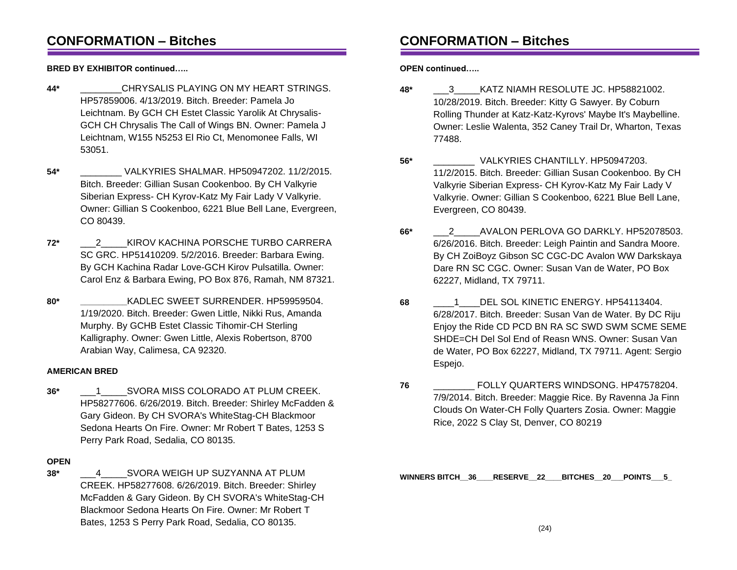## **CONFORMATION – Bitches**

**BRED BY EXHIBITOR continued…..**

- **44\*** \_\_\_\_\_\_\_\_CHRYSALIS PLAYING ON MY HEART STRINGS. HP57859006. 4/13/2019. Bitch. Breeder: Pamela Jo Leichtnam. By GCH CH Estet Classic Yarolik At Chrysalis-GCH CH Chrysalis The Call of Wings BN. Owner: Pamela J Leichtnam, W155 N5253 El Rio Ct, Menomonee Falls, WI 53051.
- **54\*** \_\_\_\_\_\_\_\_ VALKYRIES SHALMAR. HP50947202. 11/2/2015. Bitch. Breeder: Gillian Susan Cookenboo. By CH Valkyrie Siberian Express- CH Kyrov-Katz My Fair Lady V Valkyrie. Owner: Gillian S Cookenboo, 6221 Blue Bell Lane, Evergreen, CO 80439.
- **72\*** \_\_\_2\_\_\_\_\_KIROV KACHINA PORSCHE TURBO CARRERA SC GRC. HP51410209. 5/2/2016. Breeder: Barbara Ewing. By GCH Kachina Radar Love-GCH Kirov Pulsatilla. Owner: Carol Enz & Barbara Ewing, PO Box 876, Ramah, NM 87321.
- **80\* \_\_\_\_\_\_\_\_\_\_**KADLEC SWEET SURRENDER. HP59959504. 1/19/2020. Bitch. Breeder: Gwen Little, Nikki Rus, Amanda Murphy. By GCHB Estet Classic Tihomir-CH Sterling Kalligraphy. Owner: Gwen Little, Alexis Robertson, 8700 Arabian Way, Calimesa, CA 92320.

### **AMERICAN BRED**

**36\*** \_\_\_1\_\_\_\_\_SVORA MISS COLORADO AT PLUM CREEK. HP58277606. 6/26/2019. Bitch. Breeder: Shirley McFadden & Gary Gideon. By CH SVORA's WhiteStag-CH Blackmoor Sedona Hearts On Fire. Owner: Mr Robert T Bates, 1253 S Perry Park Road, Sedalia, CO 80135.

### **OPEN**

**38\*** \_\_\_4\_\_\_\_\_SVORA WEIGH UP SUZYANNA AT PLUM CREEK. HP58277608. 6/26/2019. Bitch. Breeder: Shirley McFadden & Gary Gideon. By CH SVORA's WhiteStag-CH Blackmoor Sedona Hearts On Fire. Owner: Mr Robert T Bates, 1253 S Perry Park Road, Sedalia, CO 80135.

# **CONFORMATION – Bitches**

**OPEN continued…..**

- **48\*** \_\_\_3\_\_\_\_\_KATZ NIAMH RESOLUTE JC. HP58821002. 10/28/2019. Bitch. Breeder: Kitty G Sawyer. By Coburn Rolling Thunder at Katz-Katz-Kyrovs' Maybe It's Maybelline. Owner: Leslie Walenta, 352 Caney Trail Dr, Wharton, Texas 77488.
- **56\*** \_\_\_\_\_\_\_\_ VALKYRIES CHANTILLY. HP50947203. 11/2/2015. Bitch. Breeder: Gillian Susan Cookenboo. By CH Valkyrie Siberian Express- CH Kyrov-Katz My Fair Lady V Valkyrie. Owner: Gillian S Cookenboo, 6221 Blue Bell Lane, Evergreen, CO 80439.
- **66\*** \_\_\_2\_\_\_\_\_AVALON PERLOVA GO DARKLY. HP52078503. 6/26/2016. Bitch. Breeder: Leigh Paintin and Sandra Moore. By CH ZoiBoyz Gibson SC CGC-DC Avalon WW Darkskaya Dare RN SC CGC. Owner: Susan Van de Water, PO Box 62227, Midland, TX 79711.
- **68** \_\_\_\_1\_\_\_\_DEL SOL KINETIC ENERGY. HP54113404. 6/28/2017. Bitch. Breeder: Susan Van de Water. By DC Riju Enjoy the Ride CD PCD BN RA SC SWD SWM SCME SEME SHDE=CH Del Sol End of Reasn WNS. Owner: Susan Van de Water, PO Box 62227, Midland, TX 79711. Agent: Sergio Espejo.
- **76** \_\_\_\_\_\_\_\_ FOLLY QUARTERS WINDSONG. HP47578204. 7/9/2014. Bitch. Breeder: Maggie Rice. By Ravenna Ja Finn Clouds On Water-CH Folly Quarters Zosia. Owner: Maggie Rice, 2022 S Clay St, Denver, CO 80219

**WINNERS BITCH\_\_36\_\_\_\_RESERVE\_\_22\_\_\_\_BITCHES\_\_20\_\_\_POINTS\_\_\_5\_**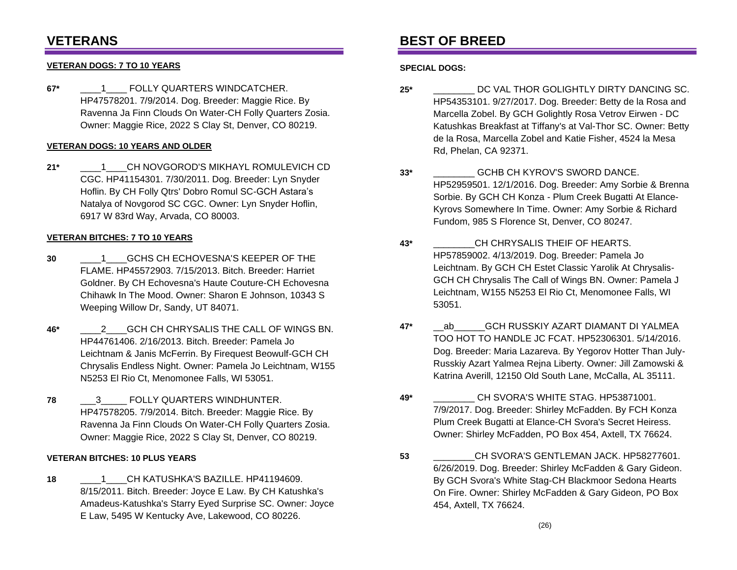# **VETERANS**

### **VETERAN DOGS: 7 TO 10 YEARS**

**67\*** \_\_\_\_1\_\_\_\_ FOLLY QUARTERS WINDCATCHER. HP47578201. 7/9/2014. Dog. Breeder: Maggie Rice. By Ravenna Ja Finn Clouds On Water-CH Folly Quarters Zosia. Owner: Maggie Rice, 2022 S Clay St, Denver, CO 80219.

#### **VETERAN DOGS: 10 YEARS AND OLDER**

**21\*** \_\_\_\_1\_\_\_\_CH NOVGOROD'S MIKHAYL ROMULEVICH CD CGC. HP41154301. 7/30/2011. Dog. Breeder: Lyn Snyder Hoflin. By CH Folly Qtrs' Dobro Romul SC-GCH Astara's Natalya of Novgorod SC CGC. Owner: Lyn Snyder Hoflin, 6917 W 83rd Way, Arvada, CO 80003.

#### **VETERAN BITCHES: 7 TO 10 YEARS**

- **30** \_\_\_\_1\_\_\_\_GCHS CH ECHOVESNA'S KEEPER OF THE FLAME. HP45572903. 7/15/2013. Bitch. Breeder: Harriet Goldner. By CH Echovesna's Haute Couture-CH Echovesna Chihawk In The Mood. Owner: Sharon E Johnson, 10343 S Weeping Willow Dr, Sandy, UT 84071.
- **46\*** \_\_\_\_2\_\_\_\_GCH CH CHRYSALIS THE CALL OF WINGS BN. HP44761406. 2/16/2013. Bitch. Breeder: Pamela Jo Leichtnam & Janis McFerrin. By Firequest Beowulf-GCH CH Chrysalis Endless Night. Owner: Pamela Jo Leichtnam, W155 N5253 El Rio Ct, Menomonee Falls, WI 53051.
- **78** \_\_\_3\_\_\_\_\_ FOLLY QUARTERS WINDHUNTER. HP47578205. 7/9/2014. Bitch. Breeder: Maggie Rice. By Ravenna Ja Finn Clouds On Water-CH Folly Quarters Zosia. Owner: Maggie Rice, 2022 S Clay St, Denver, CO 80219.

#### **VETERAN BITCHES: 10 PLUS YEARS**

18 <sup>1</sup> CH KATUSHKA'S BAZILLE. HP41194609. 8/15/2011. Bitch. Breeder: Joyce E Law. By CH Katushka's Amadeus-Katushka's Starry Eyed Surprise SC. Owner: Joyce E Law, 5495 W Kentucky Ave, Lakewood, CO 80226.

## **BEST OF BREED**

#### **SPECIAL DOGS:**

- **25\*** \_\_\_\_\_\_\_\_ DC VAL THOR GOLIGHTLY DIRTY DANCING SC. HP54353101. 9/27/2017. Dog. Breeder: Betty de la Rosa and Marcella Zobel. By GCH Golightly Rosa Vetrov Eirwen - DC Katushkas Breakfast at Tiffany's at Val-Thor SC. Owner: Betty de la Rosa, Marcella Zobel and Katie Fisher, 4524 la Mesa Rd, Phelan, CA 92371.
- **33\*** \_\_\_\_\_\_\_\_ GCHB CH KYROV'S SWORD DANCE. HP52959501. 12/1/2016. Dog. Breeder: Amy Sorbie & Brenna Sorbie. By GCH CH Konza - Plum Creek Bugatti At Elance-Kyrovs Somewhere In Time. Owner: Amy Sorbie & Richard Fundom, 985 S Florence St, Denver, CO 80247.
- **43\*** \_\_\_\_\_\_\_\_CH CHRYSALIS THEIF OF HEARTS. HP57859002. 4/13/2019. Dog. Breeder: Pamela Jo Leichtnam. By GCH CH Estet Classic Yarolik At Chrysalis-GCH CH Chrysalis The Call of Wings BN. Owner: Pamela J Leichtnam, W155 N5253 El Rio Ct, Menomonee Falls, WI 53051.
- **47\*** \_\_ab\_\_\_\_\_\_GCH RUSSKIY AZART DIAMANT DI YALMEA TOO HOT TO HANDLE JC FCAT. HP52306301. 5/14/2016. Dog. Breeder: Maria Lazareva. By Yegorov Hotter Than July-Russkiy Azart Yalmea Rejna Liberty. Owner: Jill Zamowski & Katrina Averill, 12150 Old South Lane, McCalla, AL 35111.
- **49\*** \_\_\_\_\_\_\_\_ CH SVORA'S WHITE STAG. HP53871001. 7/9/2017. Dog. Breeder: Shirley McFadden. By FCH Konza Plum Creek Bugatti at Elance-CH Svora's Secret Heiress. Owner: Shirley McFadden, PO Box 454, Axtell, TX 76624.
- **53** \_\_\_\_\_\_\_\_CH SVORA'S GENTLEMAN JACK. HP58277601. 6/26/2019. Dog. Breeder: Shirley McFadden & Gary Gideon. By GCH Svora's White Stag-CH Blackmoor Sedona Hearts On Fire. Owner: Shirley McFadden & Gary Gideon, PO Box 454, Axtell, TX 76624.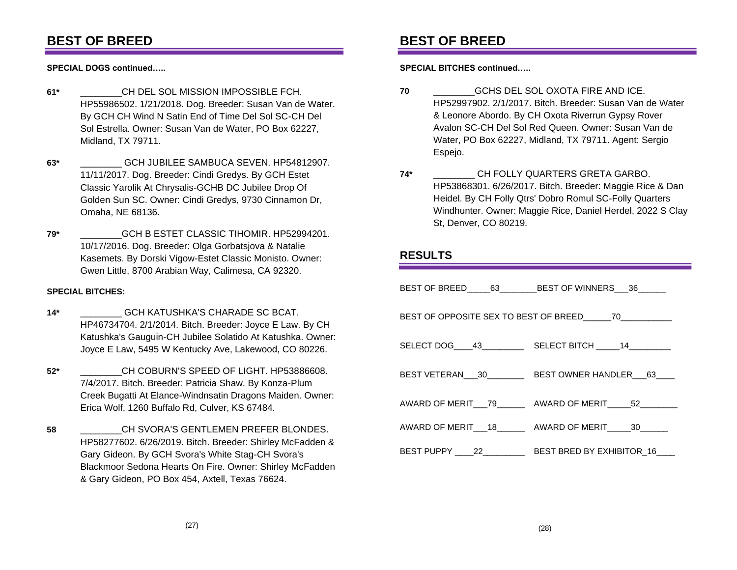# **BEST OF BREED**

**SPECIAL DOGS continued…..**

- **61\*** \_\_\_\_\_\_\_\_CH DEL SOL MISSION IMPOSSIBLE FCH. HP55986502. 1/21/2018. Dog. Breeder: Susan Van de Water. By GCH CH Wind N Satin End of Time Del Sol SC-CH Del Sol Estrella. Owner: Susan Van de Water, PO Box 62227, Midland, TX 79711.
- **63\*** \_\_\_\_\_\_\_\_ GCH JUBILEE SAMBUCA SEVEN. HP54812907. 11/11/2017. Dog. Breeder: Cindi Gredys. By GCH Estet Classic Yarolik At Chrysalis-GCHB DC Jubilee Drop Of Golden Sun SC. Owner: Cindi Gredys, 9730 Cinnamon Dr, Omaha, NE 68136.
- **79\*** \_\_\_\_\_\_\_\_GCH B ESTET CLASSIC TIHOMIR. HP52994201. 10/17/2016. Dog. Breeder: Olga Gorbatsjova & Natalie Kasemets. By Dorski Vigow-Estet Classic Monisto. Owner: Gwen Little, 8700 Arabian Way, Calimesa, CA 92320.

### **SPECIAL BITCHES:**

- **14\*** \_\_\_\_\_\_\_\_ GCH KATUSHKA'S CHARADE SC BCAT. HP46734704. 2/1/2014. Bitch. Breeder: Joyce E Law. By CH Katushka's Gauguin-CH Jubilee Solatido At Katushka. Owner: Joyce E Law, 5495 W Kentucky Ave, Lakewood, CO 80226.
- **52\*** \_\_\_\_\_\_\_\_CH COBURN'S SPEED OF LIGHT. HP53886608. 7/4/2017. Bitch. Breeder: Patricia Shaw. By Konza-Plum Creek Bugatti At Elance-Windnsatin Dragons Maiden. Owner: Erica Wolf, 1260 Buffalo Rd, Culver, KS 67484.
- **58** \_\_\_\_\_\_\_\_CH SVORA'S GENTLEMEN PREFER BLONDES. HP58277602. 6/26/2019. Bitch. Breeder: Shirley McFadden & Gary Gideon. By GCH Svora's White Stag-CH Svora's Blackmoor Sedona Hearts On Fire. Owner: Shirley McFadden & Gary Gideon, PO Box 454, Axtell, Texas 76624.

# **BEST OF BREED**

**SPECIAL BITCHES continued…..**

- **70** \_\_\_\_\_\_\_\_GCHS DEL SOL OXOTA FIRE AND ICE. HP52997902. 2/1/2017. Bitch. Breeder: Susan Van de Water & Leonore Abordo. By CH Oxota Riverrun Gypsy Rover Avalon SC-CH Del Sol Red Queen. Owner: Susan Van de Water, PO Box 62227, Midland, TX 79711. Agent: Sergio Espejo.
- **74\*** \_\_\_\_\_\_\_\_ CH FOLLY QUARTERS GRETA GARBO. HP53868301. 6/26/2017. Bitch. Breeder: Maggie Rice & Dan Heidel. By CH Folly Qtrs' Dobro Romul SC-Folly Quarters Windhunter. Owner: Maggie Rice, Daniel Herdel, 2022 S Clay St, Denver, CO 80219.

## **RESULTS**

|                                                        | BEST OF BREED_____63_________BEST OF WINNERS___36______           |
|--------------------------------------------------------|-------------------------------------------------------------------|
| BEST OF OPPOSITE SEX TO BEST OF BREED_____70__________ |                                                                   |
|                                                        |                                                                   |
|                                                        | BEST VETERAN___30___________ BEST OWNER HANDLER___63____          |
|                                                        | AWARD OF MERIT__79________ AWARD OF MERIT_____52________          |
|                                                        | AWARD OF MERIT 18 AWARD OF MERIT 30                               |
|                                                        | BEST PUPPY _____ 22_______________ BEST BRED BY EXHIBITOR_16_____ |